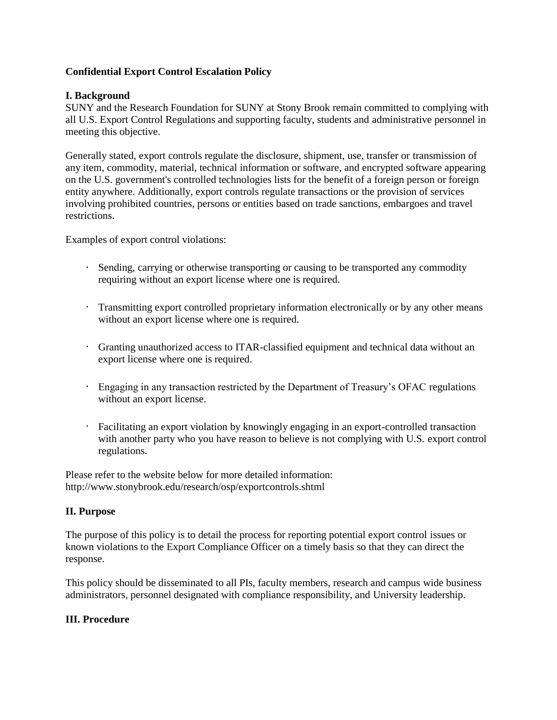# **Confidential Export Control Escalation Policy**

### **I. Background**

SUNY and the Research Foundation for SUNY at Stony Brook remain committed to complying with all U.S. Export Control Regulations and supporting faculty, students and administrative personnel in meeting this objective.

Generally stated, export controls regulate the disclosure, shipment, use, transfer or transmission of any item, commodity, material, technical information or software, and encrypted software appearing on the U.S. government's controlled technologies lists for the benefit of a foreign person or foreign entity anywhere. Additionally, export controls regulate transactions or the provision of services involving prohibited countries, persons or entities based on trade sanctions, embargoes and travel restrictions.

Examples of export control violations:

- Sending, carrying or otherwise transporting or causing to be transported any commodity requiring without an export license where one is required.
- Transmitting export controlled proprietary information electronically or by any other means without an export license where one is required.
- Granting unauthorized access to ITAR-classified equipment and technical data without an export license where one is required.
- Engaging in any transaction restricted by the Department of Treasury's OFAC regulations without an export license.
- Facilitating an export violation by knowingly engaging in an export-controlled transaction with another party who you have reason to believe is not complying with U.S. export control regulations.

Please refer to the website below for more detailed information: http://www.stonybrook.edu/research/osp/exportcontrols.shtml

# **II. Purpose**

The purpose of this policy is to detail the process for reporting potential export control issues or known violations to the Export Compliance Officer on a timely basis so that they can direct the response.

This policy should be disseminated to all PIs, faculty members, research and campus wide business administrators, personnel designated with compliance responsibility, and University leadership.

### **III. Procedure**